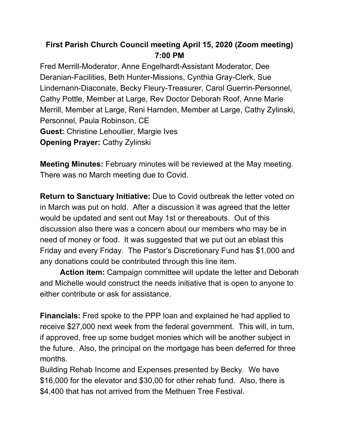## **First Parish Church Council meeting April 15, 2020 (Zoom meeting) 7:00 PM**

Fred Merrill-Moderator, Anne Engelhardt-Assistant Moderator, Dee Deranian-Facilities, Beth Hunter-Missions, Cynthia Gray-Clerk, Sue Lindemann-Diaconate, Becky Fleury-Treasurer, Carol Guerrin-Personnel, Cathy Pottle, Member at Large, Rev Doctor Deborah Roof, Anne Marie Merrill, Member at Large, Reni Harnden, Member at Large, Cathy Zylinski, Personnel, Paula Robinson, CE **Guest:** Christine Lehoullier, Margie Ives **Opening Prayer:** Cathy Zylinski

**Meeting Minutes:** February minutes will be reviewed at the May meeting. There was no March meeting due to Covid.

**Return to Sanctuary Initiative:** Due to Covid outbreak the letter voted on in March was put on hold. After a discussion it was agreed that the letter would be updated and sent out May 1st or thereabouts. Out of this discussion also there was a concern about our members who may be in need of money or food. It was suggested that we put out an eblast this Friday and every Friday. The Pastor's Discretionary Fund has \$1,000 and any donations could be contributed through this line item.

**Action item:** Campaign committee will update the letter and Deborah and Michelle would construct the needs initiative that is open to anyone to either contribute or ask for assistance.

**Financials:** Fred spoke to the PPP loan and explained he had applied to receive \$27,000 next week from the federal government. This will, in turn, if approved, free up some budget monies which will be another subject in the future. Also, the principal on the mortgage has been deferred for three months.

Building Rehab Income and Expenses presented by Becky. We have \$16,000 for the elevator and \$30,00 for other rehab fund. Also, there is \$4,400 that has not arrived from the Methuen Tree Festival.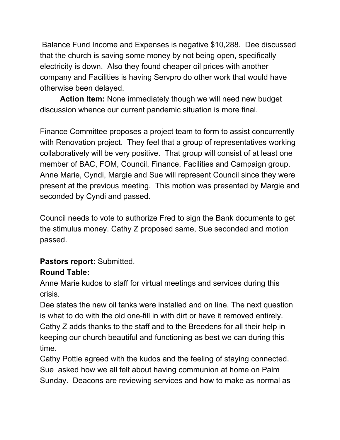Balance Fund Income and Expenses is negative \$10,288. Dee discussed that the church is saving some money by not being open, specifically electricity is down. Also they found cheaper oil prices with another company and Facilities is having Servpro do other work that would have otherwise been delayed.

**Action Item:** None immediately though we will need new budget discussion whence our current pandemic situation is more final.

Finance Committee proposes a project team to form to assist concurrently with Renovation project. They feel that a group of representatives working collaboratively will be very positive. That group will consist of at least one member of BAC, FOM, Council, Finance, Facilities and Campaign group. Anne Marie, Cyndi, Margie and Sue will represent Council since they were present at the previous meeting. This motion was presented by Margie and seconded by Cyndi and passed.

Council needs to vote to authorize Fred to sign the Bank documents to get the stimulus money. Cathy Z proposed same, Sue seconded and motion passed.

## **Pastors report:** Submitted.

## **Round Table:**

Anne Marie kudos to staff for virtual meetings and services during this crisis.

Dee states the new oil tanks were installed and on line. The next question is what to do with the old one-fill in with dirt or have it removed entirely. Cathy Z adds thanks to the staff and to the Breedens for all their help in keeping our church beautiful and functioning as best we can during this time.

Cathy Pottle agreed with the kudos and the feeling of staying connected. Sue asked how we all felt about having communion at home on Palm Sunday. Deacons are reviewing services and how to make as normal as